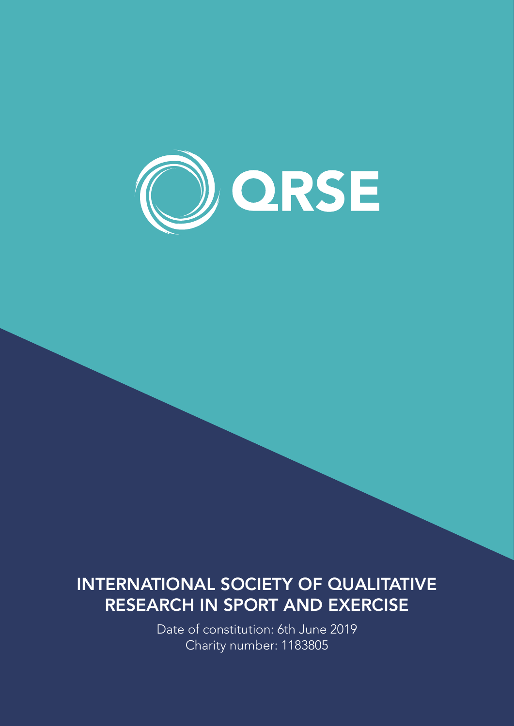

# INTERNATIONAL SOCIETY OF QUALITATIVE RESEARCH IN SPORT AND EXERCISE

Date of constitution: 6th June 2019 Charity number: 1183805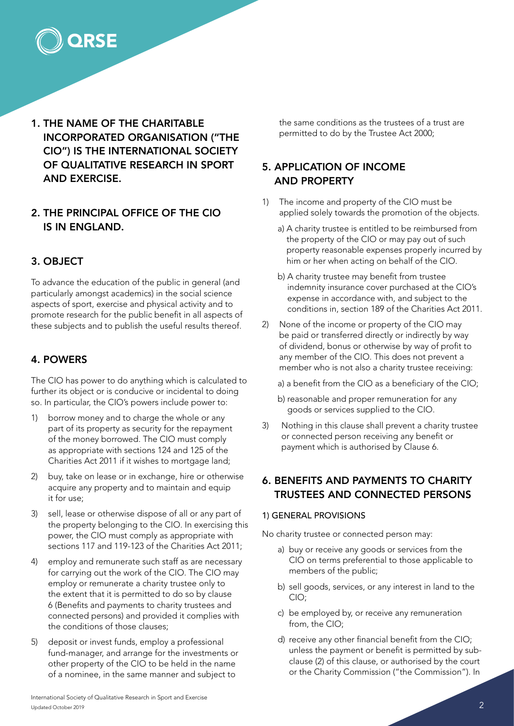

1. THE NAME OF THE CHARITABLE INCORPORATED ORGANISATION ("THE CIO") IS THE INTERNATIONAL SOCIETY OF QUALITATIVE RESEARCH IN SPORT AND EXERCISE.

# 2. THE PRINCIPAL OFFICE OF THE CIO IS IN ENGLAND.

# 3. OBJECT

To advance the education of the public in general (and particularly amongst academics) in the social science aspects of sport, exercise and physical activity and to promote research for the public benefit in all aspects of these subjects and to publish the useful results thereof.

# 4. POWERS

The CIO has power to do anything which is calculated to further its object or is conducive or incidental to doing so. In particular, the CIO's powers include power to:

- 1) borrow money and to charge the whole or any part of its property as security for the repayment of the money borrowed. The CIO must comply as appropriate with sections 124 and 125 of the Charities Act 2011 if it wishes to mortgage land;
- 2) buy, take on lease or in exchange, hire or otherwise acquire any property and to maintain and equip it for use;
- 3) sell, lease or otherwise dispose of all or any part of the property belonging to the CIO. In exercising this power, the CIO must comply as appropriate with sections 117 and 119-123 of the Charities Act 2011;
- 4) employ and remunerate such staff as are necessary for carrying out the work of the CIO. The CIO may employ or remunerate a charity trustee only to the extent that it is permitted to do so by clause 6 (Benefits and payments to charity trustees and connected persons) and provided it complies with the conditions of those clauses;
- 5) deposit or invest funds, employ a professional fund-manager, and arrange for the investments or other property of the CIO to be held in the name of a nominee, in the same manner and subject to

the same conditions as the trustees of a trust are permitted to do by the Trustee Act 2000;

# 5. APPLICATION OF INCOME AND PROPERTY

- 1) The income and property of the CIO must be applied solely towards the promotion of the objects.
	- a) A charity trustee is entitled to be reimbursed from the property of the CIO or may pay out of such property reasonable expenses properly incurred by him or her when acting on behalf of the CIO.
	- b) A charity trustee may benefit from trustee indemnity insurance cover purchased at the CIO's expense in accordance with, and subject to the conditions in, section 189 of the Charities Act 2011.
- 2) None of the income or property of the CIO may be paid or transferred directly or indirectly by way of dividend, bonus or otherwise by way of profit to any member of the CIO. This does not prevent a member who is not also a charity trustee receiving:
	- a) a benefit from the CIO as a beneficiary of the CIO;
	- b) reasonable and proper remuneration for any goods or services supplied to the CIO.
- 3) Nothing in this clause shall prevent a charity trustee or connected person receiving any benefit or payment which is authorised by Clause 6.

# 6. BENEFITS AND PAYMENTS TO CHARITY TRUSTEES AND CONNECTED PERSONS

### 1) GENERAL PROVISIONS

No charity trustee or connected person may:

- a) buy or receive any goods or services from the CIO on terms preferential to those applicable to members of the public;
- b) sell goods, services, or any interest in land to the CIO;
- c) be employed by, or receive any remuneration from, the CIO;
- d) receive any other financial benefit from the CIO; unless the payment or benefit is permitted by subclause (2) of this clause, or authorised by the court or the Charity Commission ("the Commission"). In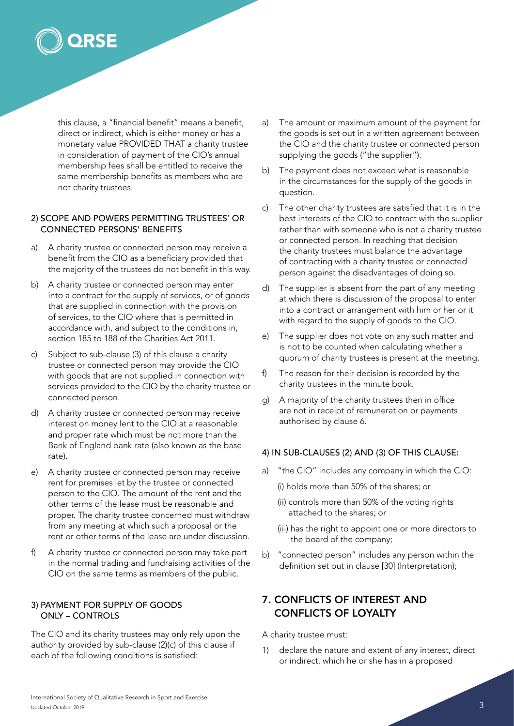

this clause, a "financial benefit" means a benefit, direct or indirect, which is either money or has a monetary value PROVIDED THAT a charity trustee in consideration of payment of the CIO's annual membership fees shall be entitled to receive the same membership benefits as members who are not charity trustees.

### 2) SCOPE AND POWERS PERMITTING TRUSTEES' OR CONNECTED PERSONS' BENEFITS

- a) A charity trustee or connected person may receive a benefit from the CIO as a beneficiary provided that the majority of the trustees do not benefit in this way.
- b) A charity trustee or connected person may enter into a contract for the supply of services, or of goods that are supplied in connection with the provision of services, to the CIO where that is permitted in accordance with, and subject to the conditions in, section 185 to 188 of the Charities Act 2011.
- c) Subject to sub-clause (3) of this clause a charity trustee or connected person may provide the CIO with goods that are not supplied in connection with services provided to the CIO by the charity trustee or connected person.
- d) A charity trustee or connected person may receive interest on money lent to the CIO at a reasonable and proper rate which must be not more than the Bank of England bank rate (also known as the base rate).
- e) A charity trustee or connected person may receive rent for premises let by the trustee or connected person to the CIO. The amount of the rent and the other terms of the lease must be reasonable and proper. The charity trustee concerned must withdraw from any meeting at which such a proposal or the rent or other terms of the lease are under discussion.
- f) A charity trustee or connected person may take part in the normal trading and fundraising activities of the CIO on the same terms as members of the public.

### 3) PAYMENT FOR SUPPLY OF GOODS ONLY – CONTROLS

The CIO and its charity trustees may only rely upon the authority provided by sub-clause (2)(c) of this clause if each of the following conditions is satisfied:

- a) The amount or maximum amount of the payment for the goods is set out in a written agreement between the CIO and the charity trustee or connected person supplying the goods ("the supplier").
- b) The payment does not exceed what is reasonable in the circumstances for the supply of the goods in question.
- c) The other charity trustees are satisfied that it is in the best interests of the CIO to contract with the supplier rather than with someone who is not a charity trustee or connected person. In reaching that decision the charity trustees must balance the advantage of contracting with a charity trustee or connected person against the disadvantages of doing so.
- d) The supplier is absent from the part of any meeting at which there is discussion of the proposal to enter into a contract or arrangement with him or her or it with regard to the supply of goods to the CIO.
- e) The supplier does not vote on any such matter and is not to be counted when calculating whether a quorum of charity trustees is present at the meeting.
- f) The reason for their decision is recorded by the charity trustees in the minute book.
- g) A majority of the charity trustees then in office are not in receipt of remuneration or payments authorised by clause 6.

### 4) IN SUB-CLAUSES (2) AND (3) OF THIS CLAUSE:

a) "the CIO" includes any company in which the CIO:

(i) holds more than 50% of the shares; or

- (ii) controls more than 50% of the voting rights attached to the shares; or
- (iii) has the right to appoint one or more directors to the board of the company;
- b) "connected person" includes any person within the definition set out in clause [30] (Interpretation);

# 7. CONFLICTS OF INTEREST AND CONFLICTS OF LOYALTY

A charity trustee must:

1) declare the nature and extent of any interest, direct or indirect, which he or she has in a proposed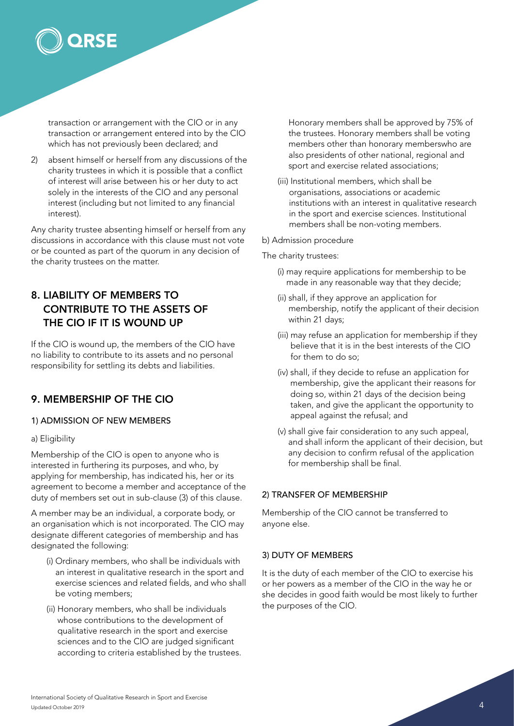

transaction or arrangement with the CIO or in any transaction or arrangement entered into by the CIO which has not previously been declared; and

2) absent himself or herself from any discussions of the charity trustees in which it is possible that a conflict of interest will arise between his or her duty to act solely in the interests of the CIO and any personal interest (including but not limited to any financial interest).

Any charity trustee absenting himself or herself from any discussions in accordance with this clause must not vote or be counted as part of the quorum in any decision of the charity trustees on the matter.

# 8. LIABILITY OF MEMBERS TO CONTRIBUTE TO THE ASSETS OF THE CIO IF IT IS WOUND UP

If the CIO is wound up, the members of the CIO have no liability to contribute to its assets and no personal responsibility for settling its debts and liabilities.

# 9. MEMBERSHIP OF THE CIO

# 1) ADMISSION OF NEW MEMBERS

### a) Eligibility

Membership of the CIO is open to anyone who is interested in furthering its purposes, and who, by applying for membership, has indicated his, her or its agreement to become a member and acceptance of the duty of members set out in sub-clause (3) of this clause.

A member may be an individual, a corporate body, or an organisation which is not incorporated. The CIO may designate different categories of membership and has designated the following:

- (i) Ordinary members, who shall be individuals with an interest in qualitative research in the sport and exercise sciences and related fields, and who shall be voting members;
- (ii) Honorary members, who shall be individuals whose contributions to the development of qualitative research in the sport and exercise sciences and to the CIO are judged significant according to criteria established by the trustees.

Honorary members shall be approved by 75% of the trustees. Honorary members shall be voting members other than honorary memberswho are also presidents of other national, regional and sport and exercise related associations;

(iii) Institutional members, which shall be organisations, associations or academic institutions with an interest in qualitative research in the sport and exercise sciences. Institutional members shall be non-voting members.

b) Admission procedure

The charity trustees:

- (i) may require applications for membership to be made in any reasonable way that they decide;
- (ii) shall, if they approve an application for membership, notify the applicant of their decision within 21 days;
- (iii) may refuse an application for membership if they believe that it is in the best interests of the CIO for them to do so;
- (iv) shall, if they decide to refuse an application for membership, give the applicant their reasons for doing so, within 21 days of the decision being taken, and give the applicant the opportunity to appeal against the refusal; and
- (v) shall give fair consideration to any such appeal, and shall inform the applicant of their decision, but any decision to confirm refusal of the application for membership shall be final.

# 2) TRANSFER OF MEMBERSHIP

Membership of the CIO cannot be transferred to anyone else.

# 3) DUTY OF MEMBERS

It is the duty of each member of the CIO to exercise his or her powers as a member of the CIO in the way he or she decides in good faith would be most likely to further the purposes of the CIO.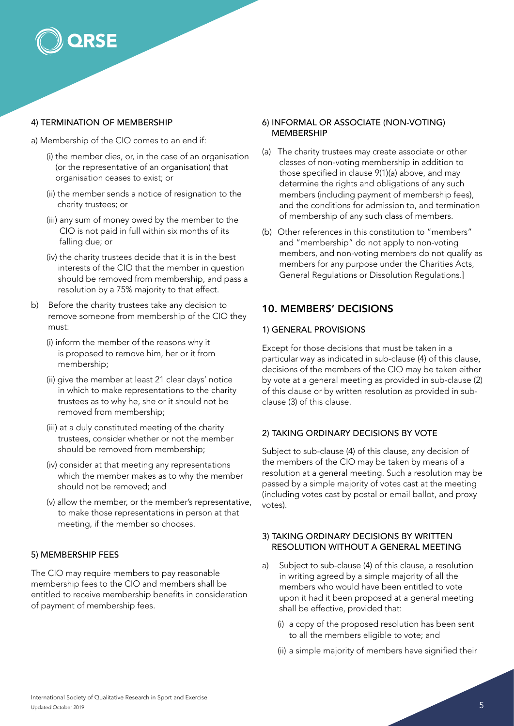

### 4) TERMINATION OF MEMBERSHIP

- a) Membership of the CIO comes to an end if:
	- (i) the member dies, or, in the case of an organisation (or the representative of an organisation) that organisation ceases to exist; or
	- (ii) the member sends a notice of resignation to the charity trustees; or
	- (iii) any sum of money owed by the member to the CIO is not paid in full within six months of its falling due; or
	- (iv) the charity trustees decide that it is in the best interests of the CIO that the member in question should be removed from membership, and pass a resolution by a 75% majority to that effect.
- b) Before the charity trustees take any decision to remove someone from membership of the CIO they must:
	- (i) inform the member of the reasons why it is proposed to remove him, her or it from membership;
	- (ii) give the member at least 21 clear days' notice in which to make representations to the charity trustees as to why he, she or it should not be removed from membership;
	- (iii) at a duly constituted meeting of the charity trustees, consider whether or not the member should be removed from membership;
	- (iv) consider at that meeting any representations which the member makes as to why the member should not be removed; and
	- (v) allow the member, or the member's representative, to make those representations in person at that meeting, if the member so chooses.

### 5) MEMBERSHIP FEES

The CIO may require members to pay reasonable membership fees to the CIO and members shall be entitled to receive membership benefits in consideration of payment of membership fees.

#### 6) INFORMAL OR ASSOCIATE (NON-VOTING) **MEMBERSHIP**

- (a) The charity trustees may create associate or other classes of non-voting membership in addition to those specified in clause 9(1)(a) above, and may determine the rights and obligations of any such members (including payment of membership fees), and the conditions for admission to, and termination of membership of any such class of members.
- (b) Other references in this constitution to "members" and "membership" do not apply to non-voting members, and non-voting members do not qualify as members for any purpose under the Charities Acts, General Regulations or Dissolution Regulations.]

# 10. MEMBERS' DECISIONS

#### 1) GENERAL PROVISIONS

Except for those decisions that must be taken in a particular way as indicated in sub-clause (4) of this clause, decisions of the members of the CIO may be taken either by vote at a general meeting as provided in sub-clause (2) of this clause or by written resolution as provided in subclause (3) of this clause.

### 2) TAKING ORDINARY DECISIONS BY VOTE

Subject to sub-clause (4) of this clause, any decision of the members of the CIO may be taken by means of a resolution at a general meeting. Such a resolution may be passed by a simple majority of votes cast at the meeting (including votes cast by postal or email ballot, and proxy votes).

### 3) TAKING ORDINARY DECISIONS BY WRITTEN RESOLUTION WITHOUT A GENERAL MEETING

- a) Subject to sub-clause (4) of this clause, a resolution in writing agreed by a simple majority of all the members who would have been entitled to vote upon it had it been proposed at a general meeting shall be effective, provided that:
	- (i) a copy of the proposed resolution has been sent to all the members eligible to vote; and
	- (ii) a simple majority of members have signified their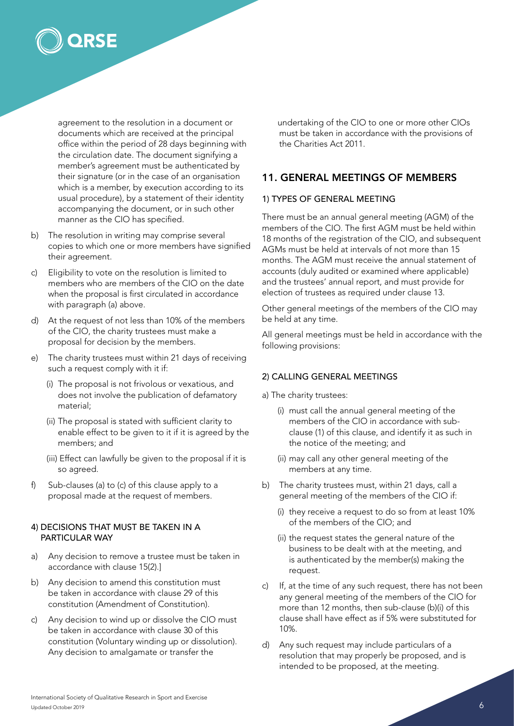

agreement to the resolution in a document or documents which are received at the principal office within the period of 28 days beginning with the circulation date. The document signifying a member's agreement must be authenticated by their signature (or in the case of an organisation which is a member, by execution according to its usual procedure), by a statement of their identity accompanying the document, or in such other manner as the CIO has specified.

- b) The resolution in writing may comprise several copies to which one or more members have signified their agreement.
- c) Eligibility to vote on the resolution is limited to members who are members of the CIO on the date when the proposal is first circulated in accordance with paragraph (a) above.
- d) At the request of not less than 10% of the members of the CIO, the charity trustees must make a proposal for decision by the members.
- e) The charity trustees must within 21 days of receiving such a request comply with it if:
	- (i) The proposal is not frivolous or vexatious, and does not involve the publication of defamatory material;
	- (ii) The proposal is stated with sufficient clarity to enable effect to be given to it if it is agreed by the members; and
	- (iii) Effect can lawfully be given to the proposal if it is so agreed.
- f) Sub-clauses (a) to (c) of this clause apply to a proposal made at the request of members.

### 4) DECISIONS THAT MUST BE TAKEN IN A PARTICULAR WAY

- a) Any decision to remove a trustee must be taken in accordance with clause 15(2).]
- b) Any decision to amend this constitution must be taken in accordance with clause 29 of this constitution (Amendment of Constitution).
- c) Any decision to wind up or dissolve the CIO must be taken in accordance with clause 30 of this constitution (Voluntary winding up or dissolution). Any decision to amalgamate or transfer the

undertaking of the CIO to one or more other CIOs must be taken in accordance with the provisions of the Charities Act 2011.

# 11. GENERAL MEETINGS OF MEMBERS

### 1) TYPES OF GENERAL MEETING

There must be an annual general meeting (AGM) of the members of the CIO. The first AGM must be held within 18 months of the registration of the CIO, and subsequent AGMs must be held at intervals of not more than 15 months. The AGM must receive the annual statement of accounts (duly audited or examined where applicable) and the trustees' annual report, and must provide for election of trustees as required under clause 13.

Other general meetings of the members of the CIO may be held at any time.

All general meetings must be held in accordance with the following provisions:

### 2) CALLING GENERAL MEETINGS

- a) The charity trustees:
	- (i) must call the annual general meeting of the members of the CIO in accordance with subclause (1) of this clause, and identify it as such in the notice of the meeting; and
	- (ii) may call any other general meeting of the members at any time.
- b) The charity trustees must, within 21 days, call a general meeting of the members of the CIO if:
	- (i) they receive a request to do so from at least 10% of the members of the CIO; and
	- (ii) the request states the general nature of the business to be dealt with at the meeting, and is authenticated by the member(s) making the request.
- c) If, at the time of any such request, there has not been any general meeting of the members of the CIO for more than 12 months, then sub-clause (b)(i) of this clause shall have effect as if 5% were substituted for 10%.
- d) Any such request may include particulars of a resolution that may properly be proposed, and is intended to be proposed, at the meeting.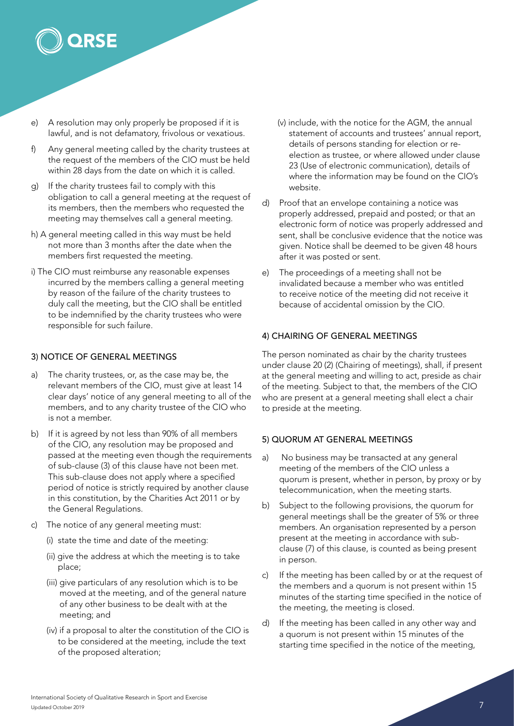

- e) A resolution may only properly be proposed if it is lawful, and is not defamatory, frivolous or vexatious.
- f) Any general meeting called by the charity trustees at the request of the members of the CIO must be held within 28 days from the date on which it is called.
- g) If the charity trustees fail to comply with this obligation to call a general meeting at the request of its members, then the members who requested the meeting may themselves call a general meeting.
- h) A general meeting called in this way must be held not more than 3 months after the date when the members first requested the meeting.
- i) The CIO must reimburse any reasonable expenses incurred by the members calling a general meeting by reason of the failure of the charity trustees to duly call the meeting, but the CIO shall be entitled to be indemnified by the charity trustees who were responsible for such failure.

### 3) NOTICE OF GENERAL MEETINGS

- a) The charity trustees, or, as the case may be, the relevant members of the CIO, must give at least 14 clear days' notice of any general meeting to all of the members, and to any charity trustee of the CIO who is not a member.
- b) If it is agreed by not less than 90% of all members of the CIO, any resolution may be proposed and passed at the meeting even though the requirements of sub-clause (3) of this clause have not been met. This sub-clause does not apply where a specified period of notice is strictly required by another clause in this constitution, by the Charities Act 2011 or by the General Regulations.
- c) The notice of any general meeting must:
	- (i) state the time and date of the meeting:
	- (ii) give the address at which the meeting is to take place;
	- (iii) give particulars of any resolution which is to be moved at the meeting, and of the general nature of any other business to be dealt with at the meeting; and
	- (iv) if a proposal to alter the constitution of the CIO is to be considered at the meeting, include the text of the proposed alteration;
- (v) include, with the notice for the AGM, the annual statement of accounts and trustees' annual report, details of persons standing for election or reelection as trustee, or where allowed under clause 23 (Use of electronic communication), details of where the information may be found on the CIO's website.
- d) Proof that an envelope containing a notice was properly addressed, prepaid and posted; or that an electronic form of notice was properly addressed and sent, shall be conclusive evidence that the notice was given. Notice shall be deemed to be given 48 hours after it was posted or sent.
- e) The proceedings of a meeting shall not be invalidated because a member who was entitled to receive notice of the meeting did not receive it because of accidental omission by the CIO.

### 4) CHAIRING OF GENERAL MEETINGS

The person nominated as chair by the charity trustees under clause 20 (2) (Chairing of meetings), shall, if present at the general meeting and willing to act, preside as chair of the meeting. Subject to that, the members of the CIO who are present at a general meeting shall elect a chair to preside at the meeting.

### 5) QUORUM AT GENERAL MEETINGS

- a) No business may be transacted at any general meeting of the members of the CIO unless a quorum is present, whether in person, by proxy or by telecommunication, when the meeting starts.
- b) Subject to the following provisions, the quorum for general meetings shall be the greater of 5% or three members. An organisation represented by a person present at the meeting in accordance with subclause (7) of this clause, is counted as being present in person.
- c) If the meeting has been called by or at the request of the members and a quorum is not present within 15 minutes of the starting time specified in the notice of the meeting, the meeting is closed.
- d) If the meeting has been called in any other way and a quorum is not present within 15 minutes of the starting time specified in the notice of the meeting,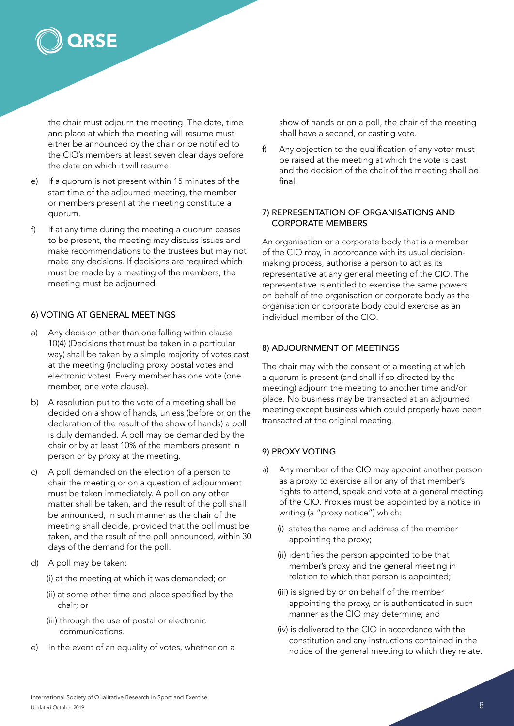

the chair must adjourn the meeting. The date, time and place at which the meeting will resume must either be announced by the chair or be notified to the CIO's members at least seven clear days before the date on which it will resume.

- e) If a quorum is not present within 15 minutes of the start time of the adjourned meeting, the member or members present at the meeting constitute a quorum.
- f) If at any time during the meeting a quorum ceases to be present, the meeting may discuss issues and make recommendations to the trustees but may not make any decisions. If decisions are required which must be made by a meeting of the members, the meeting must be adjourned.

### 6) VOTING AT GENERAL MEETINGS

- a) Any decision other than one falling within clause 10(4) (Decisions that must be taken in a particular way) shall be taken by a simple majority of votes cast at the meeting (including proxy postal votes and electronic votes). Every member has one vote (one member, one vote clause).
- b) A resolution put to the vote of a meeting shall be decided on a show of hands, unless (before or on the declaration of the result of the show of hands) a poll is duly demanded. A poll may be demanded by the chair or by at least 10% of the members present in person or by proxy at the meeting.
- c) A poll demanded on the election of a person to chair the meeting or on a question of adjournment must be taken immediately. A poll on any other matter shall be taken, and the result of the poll shall be announced, in such manner as the chair of the meeting shall decide, provided that the poll must be taken, and the result of the poll announced, within 30 days of the demand for the poll.
- d) A poll may be taken:
	- (i) at the meeting at which it was demanded; or
	- (ii) at some other time and place specified by the chair; or
	- (iii) through the use of postal or electronic communications.
- e) In the event of an equality of votes, whether on a

show of hands or on a poll, the chair of the meeting shall have a second, or casting vote.

f) Any objection to the qualification of any voter must be raised at the meeting at which the vote is cast and the decision of the chair of the meeting shall be final.

#### 7) REPRESENTATION OF ORGANISATIONS AND CORPORATE MEMBERS

An organisation or a corporate body that is a member of the CIO may, in accordance with its usual decisionmaking process, authorise a person to act as its representative at any general meeting of the CIO. The representative is entitled to exercise the same powers on behalf of the organisation or corporate body as the organisation or corporate body could exercise as an individual member of the CIO.

### 8) ADJOURNMENT OF MEETINGS

The chair may with the consent of a meeting at which a quorum is present (and shall if so directed by the meeting) adjourn the meeting to another time and/or place. No business may be transacted at an adjourned meeting except business which could properly have been transacted at the original meeting.

# 9) PROXY VOTING

- a) Any member of the CIO may appoint another person as a proxy to exercise all or any of that member's rights to attend, speak and vote at a general meeting of the CIO. Proxies must be appointed by a notice in writing (a "proxy notice") which:
	- (i) states the name and address of the member appointing the proxy;
	- (ii) identifies the person appointed to be that member's proxy and the general meeting in relation to which that person is appointed;
	- (iii) is signed by or on behalf of the member appointing the proxy, or is authenticated in such manner as the CIO may determine; and
	- (iv) is delivered to the CIO in accordance with the constitution and any instructions contained in the notice of the general meeting to which they relate.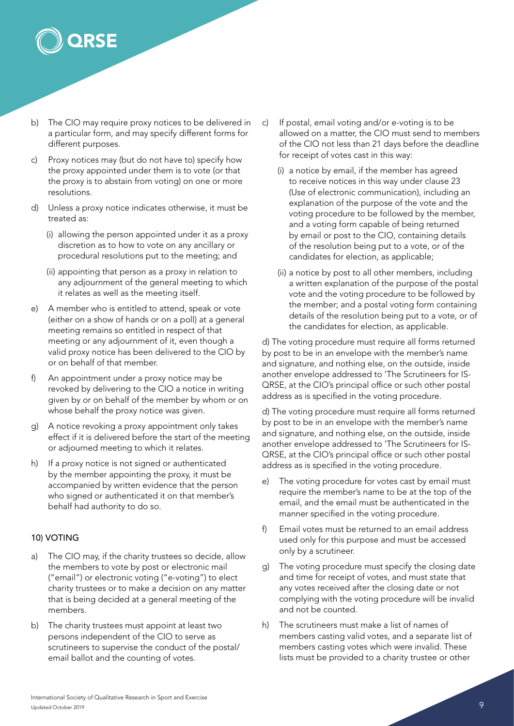

- b) The CIO may require proxy notices to be delivered in a particular form, and may specify different forms for different purposes.
- c) Proxy notices may (but do not have to) specify how the proxy appointed under them is to vote (or that the proxy is to abstain from voting) on one or more resolutions.
- d) Unless a proxy notice indicates otherwise, it must be treated as:
	- (i) allowing the person appointed under it as a proxy discretion as to how to vote on any ancillary or procedural resolutions put to the meeting; and
	- (ii) appointing that person as a proxy in relation to any adjournment of the general meeting to which it relates as well as the meeting itself.
- e) A member who is entitled to attend, speak or vote (either on a show of hands or on a poll) at a general meeting remains so entitled in respect of that meeting or any adjournment of it, even though a valid proxy notice has been delivered to the CIO by or on behalf of that member.
- f) An appointment under a proxy notice may be revoked by delivering to the CIO a notice in writing given by or on behalf of the member by whom or on whose behalf the proxy notice was given.
- g) A notice revoking a proxy appointment only takes effect if it is delivered before the start of the meeting or adjourned meeting to which it relates.
- h) If a proxy notice is not signed or authenticated by the member appointing the proxy, it must be accompanied by written evidence that the person who signed or authenticated it on that member's behalf had authority to do so.

### 10) VOTING

- a) The CIO may, if the charity trustees so decide, allow the members to vote by post or electronic mail ("email") or electronic voting ("e-voting") to elect charity trustees or to make a decision on any matter that is being decided at a general meeting of the members.
- b) The charity trustees must appoint at least two persons independent of the CIO to serve as scrutineers to supervise the conduct of the postal/ email ballot and the counting of votes.
- c) If postal, email voting and/or e-voting is to be allowed on a matter, the CIO must send to members of the CIO not less than 21 days before the deadline for receipt of votes cast in this way:
	- (i) a notice by email, if the member has agreed to receive notices in this way under clause 23 (Use of electronic communication), including an explanation of the purpose of the vote and the voting procedure to be followed by the member, and a voting form capable of being returned by email or post to the CIO, containing details of the resolution being put to a vote, or of the candidates for election, as applicable;
	- (ii) a notice by post to all other members, including a written explanation of the purpose of the postal vote and the voting procedure to be followed by the member; and a postal voting form containing details of the resolution being put to a vote, or of the candidates for election, as applicable.

d) The voting procedure must require all forms returned by post to be in an envelope with the member's name and signature, and nothing else, on the outside, inside another envelope addressed to 'The Scrutineers for IS-QRSE, at the CIO's principal office or such other postal address as is specified in the voting procedure.

d) The voting procedure must require all forms returned by post to be in an envelope with the member's name and signature, and nothing else, on the outside, inside another envelope addressed to 'The Scrutineers for IS-QRSE, at the CIO's principal office or such other postal address as is specified in the voting procedure.

- e) The voting procedure for votes cast by email must require the member's name to be at the top of the email, and the email must be authenticated in the manner specified in the voting procedure.
- f) Email votes must be returned to an email address used only for this purpose and must be accessed only by a scrutineer.
- g) The voting procedure must specify the closing date and time for receipt of votes, and must state that any votes received after the closing date or not complying with the voting procedure will be invalid and not be counted.
- h) The scrutineers must make a list of names of members casting valid votes, and a separate list of members casting votes which were invalid. These lists must be provided to a charity trustee or other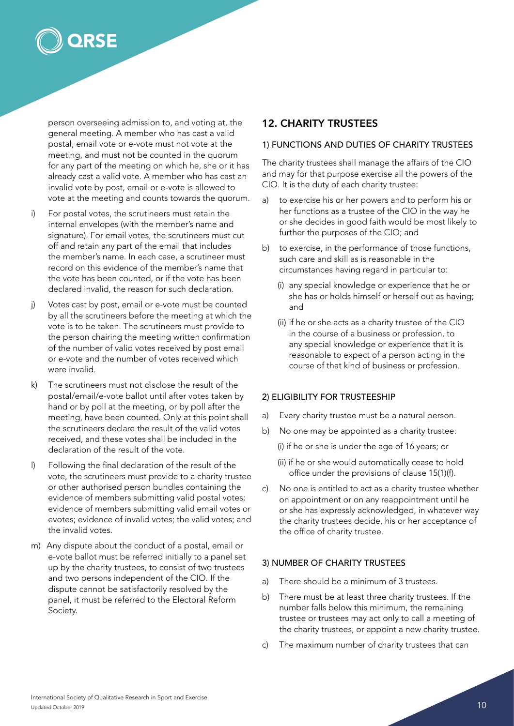

person overseeing admission to, and voting at, the general meeting. A member who has cast a valid postal, email vote or e-vote must not vote at the meeting, and must not be counted in the quorum for any part of the meeting on which he, she or it has already cast a valid vote. A member who has cast an invalid vote by post, email or e-vote is allowed to vote at the meeting and counts towards the quorum.

- i) For postal votes, the scrutineers must retain the internal envelopes (with the member's name and signature). For email votes, the scrutineers must cut off and retain any part of the email that includes the member's name. In each case, a scrutineer must record on this evidence of the member's name that the vote has been counted, or if the vote has been declared invalid, the reason for such declaration.
- j) Votes cast by post, email or e-vote must be counted by all the scrutineers before the meeting at which the vote is to be taken. The scrutineers must provide to the person chairing the meeting written confirmation of the number of valid votes received by post email or e-vote and the number of votes received which were invalid.
- k) The scrutineers must not disclose the result of the postal/email/e-vote ballot until after votes taken by hand or by poll at the meeting, or by poll after the meeting, have been counted. Only at this point shall the scrutineers declare the result of the valid votes received, and these votes shall be included in the declaration of the result of the vote.
- l) Following the final declaration of the result of the vote, the scrutineers must provide to a charity trustee or other authorised person bundles containing the evidence of members submitting valid postal votes; evidence of members submitting valid email votes or evotes; evidence of invalid votes; the valid votes; and the invalid votes.
- m) Any dispute about the conduct of a postal, email or e-vote ballot must be referred initially to a panel set up by the charity trustees, to consist of two trustees and two persons independent of the CIO. If the dispute cannot be satisfactorily resolved by the panel, it must be referred to the Electoral Reform Society.

# 12. CHARITY TRUSTEES

#### 1) FUNCTIONS AND DUTIES OF CHARITY TRUSTEES

The charity trustees shall manage the affairs of the CIO and may for that purpose exercise all the powers of the CIO. It is the duty of each charity trustee:

- a) to exercise his or her powers and to perform his or her functions as a trustee of the CIO in the way he or she decides in good faith would be most likely to further the purposes of the CIO; and
- b) to exercise, in the performance of those functions, such care and skill as is reasonable in the circumstances having regard in particular to:
	- (i) any special knowledge or experience that he or she has or holds himself or herself out as having; and
	- (ii) if he or she acts as a charity trustee of the CIO in the course of a business or profession, to any special knowledge or experience that it is reasonable to expect of a person acting in the course of that kind of business or profession.

#### 2) ELIGIBILITY FOR TRUSTEESHIP

- a) Every charity trustee must be a natural person.
- b) No one may be appointed as a charity trustee:
	- (i) if he or she is under the age of 16 years; or
	- (ii) if he or she would automatically cease to hold office under the provisions of clause 15(1)(f).
- c) No one is entitled to act as a charity trustee whether on appointment or on any reappointment until he or she has expressly acknowledged, in whatever way the charity trustees decide, his or her acceptance of the office of charity trustee.

#### 3) NUMBER OF CHARITY TRUSTEES

- a) There should be a minimum of 3 trustees.
- b) There must be at least three charity trustees. If the number falls below this minimum, the remaining trustee or trustees may act only to call a meeting of the charity trustees, or appoint a new charity trustee.
- c) The maximum number of charity trustees that can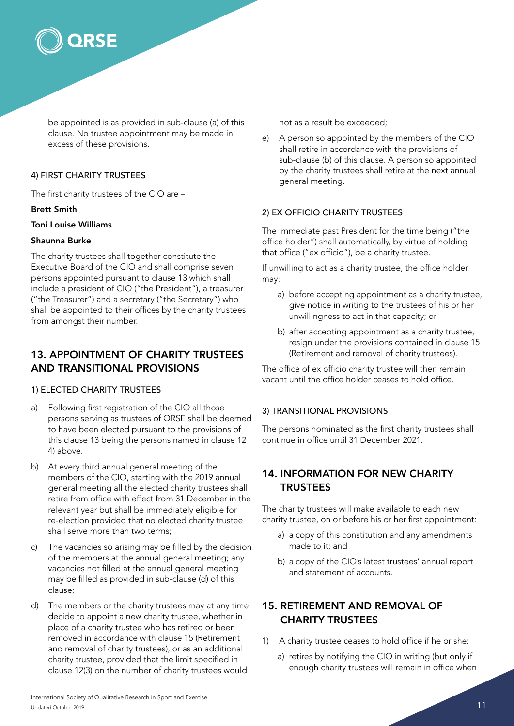

be appointed is as provided in sub-clause (a) of this clause. No trustee appointment may be made in excess of these provisions.

### 4) FIRST CHARITY TRUSTEES

The first charity trustees of the CIO are –

#### Brett Smith

#### Toni Louise Williams

### Shaunna Burke

The charity trustees shall together constitute the Executive Board of the CIO and shall comprise seven persons appointed pursuant to clause 13 which shall include a president of CIO ("the President"), a treasurer ("the Treasurer") and a secretary ("the Secretary") who shall be appointed to their offices by the charity trustees from amongst their number.

# 13. APPOINTMENT OF CHARITY TRUSTEES AND TRANSITIONAL PROVISIONS

### 1) ELECTED CHARITY TRUSTEES

- a) Following first registration of the CIO all those persons serving as trustees of QRSE shall be deemed to have been elected pursuant to the provisions of this clause 13 being the persons named in clause 12 4) above.
- b) At every third annual general meeting of the members of the CIO, starting with the 2019 annual general meeting all the elected charity trustees shall retire from office with effect from 31 December in the relevant year but shall be immediately eligible for re-election provided that no elected charity trustee shall serve more than two terms;
- c) The vacancies so arising may be filled by the decision of the members at the annual general meeting; any vacancies not filled at the annual general meeting may be filled as provided in sub-clause (d) of this clause;
- d) The members or the charity trustees may at any time decide to appoint a new charity trustee, whether in place of a charity trustee who has retired or been removed in accordance with clause 15 (Retirement and removal of charity trustees), or as an additional charity trustee, provided that the limit specified in clause 12(3) on the number of charity trustees would

not as a result be exceeded;

e) A person so appointed by the members of the CIO shall retire in accordance with the provisions of sub-clause (b) of this clause. A person so appointed by the charity trustees shall retire at the next annual general meeting.

### 2) EX OFFICIO CHARITY TRUSTEES

The Immediate past President for the time being ("the office holder") shall automatically, by virtue of holding that office ("ex officio"), be a charity trustee.

If unwilling to act as a charity trustee, the office holder may:

- a) before accepting appointment as a charity trustee, give notice in writing to the trustees of his or her unwillingness to act in that capacity; or
- b) after accepting appointment as a charity trustee, resign under the provisions contained in clause 15 (Retirement and removal of charity trustees).

The office of ex officio charity trustee will then remain vacant until the office holder ceases to hold office.

### 3) TRANSITIONAL PROVISIONS

The persons nominated as the first charity trustees shall continue in office until 31 December 2021.

# 14. INFORMATION FOR NEW CHARITY **TRUSTEES**

The charity trustees will make available to each new charity trustee, on or before his or her first appointment:

- a) a copy of this constitution and any amendments made to it; and
- b) a copy of the CIO's latest trustees' annual report and statement of accounts.

# 15. RETIREMENT AND REMOVAL OF CHARITY TRUSTEES

- 1) A charity trustee ceases to hold office if he or she:
	- a) retires by notifying the CIO in writing (but only if enough charity trustees will remain in office when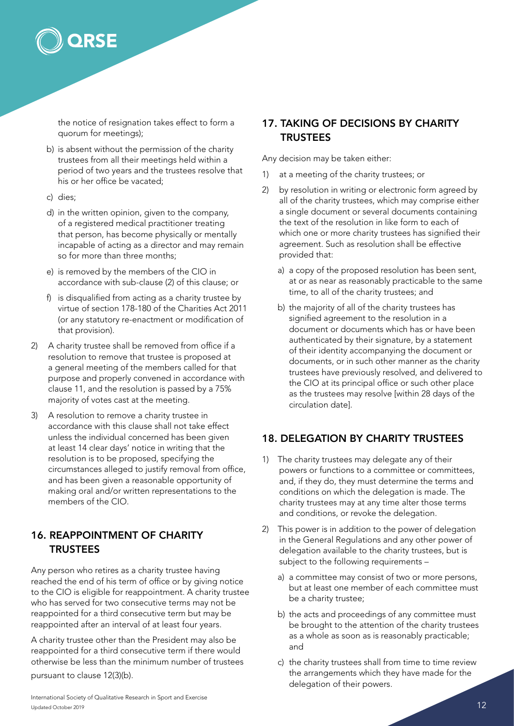

the notice of resignation takes effect to form a quorum for meetings);

- b) is absent without the permission of the charity trustees from all their meetings held within a period of two years and the trustees resolve that his or her office be vacated;
- c) dies;
- d) in the written opinion, given to the company, of a registered medical practitioner treating that person, has become physically or mentally incapable of acting as a director and may remain so for more than three months;
- e) is removed by the members of the CIO in accordance with sub-clause (2) of this clause; or
- f) is disqualified from acting as a charity trustee by virtue of section 178-180 of the Charities Act 2011 (or any statutory re-enactment or modification of that provision).
- 2) A charity trustee shall be removed from office if a resolution to remove that trustee is proposed at a general meeting of the members called for that purpose and properly convened in accordance with clause 11, and the resolution is passed by a 75% majority of votes cast at the meeting.
- 3) A resolution to remove a charity trustee in accordance with this clause shall not take effect unless the individual concerned has been given at least 14 clear days' notice in writing that the resolution is to be proposed, specifying the circumstances alleged to justify removal from office, and has been given a reasonable opportunity of making oral and/or written representations to the members of the CIO.

# 16. REAPPOINTMENT OF CHARITY **TRUSTEES**

Any person who retires as a charity trustee having reached the end of his term of office or by giving notice to the CIO is eligible for reappointment. A charity trustee who has served for two consecutive terms may not be reappointed for a third consecutive term but may be reappointed after an interval of at least four years.

A charity trustee other than the President may also be reappointed for a third consecutive term if there would otherwise be less than the minimum number of trustees pursuant to clause 12(3)(b).

# 17. TAKING OF DECISIONS BY CHARITY **TRUSTEES**

Any decision may be taken either:

- 1) at a meeting of the charity trustees; or
- 2) by resolution in writing or electronic form agreed by all of the charity trustees, which may comprise either a single document or several documents containing the text of the resolution in like form to each of which one or more charity trustees has signified their agreement. Such as resolution shall be effective provided that:
	- a) a copy of the proposed resolution has been sent, at or as near as reasonably practicable to the same time, to all of the charity trustees; and
	- b) the majority of all of the charity trustees has signified agreement to the resolution in a document or documents which has or have been authenticated by their signature, by a statement of their identity accompanying the document or documents, or in such other manner as the charity trustees have previously resolved, and delivered to the CIO at its principal office or such other place as the trustees may resolve [within 28 days of the circulation date].

# 18. DELEGATION BY CHARITY TRUSTEES

- 1) The charity trustees may delegate any of their powers or functions to a committee or committees, and, if they do, they must determine the terms and conditions on which the delegation is made. The charity trustees may at any time alter those terms and conditions, or revoke the delegation.
- 2) This power is in addition to the power of delegation in the General Regulations and any other power of delegation available to the charity trustees, but is subject to the following requirements –
	- a) a committee may consist of two or more persons, but at least one member of each committee must be a charity trustee;
	- b) the acts and proceedings of any committee must be brought to the attention of the charity trustees as a whole as soon as is reasonably practicable; and
	- c) the charity trustees shall from time to time review the arrangements which they have made for the delegation of their powers.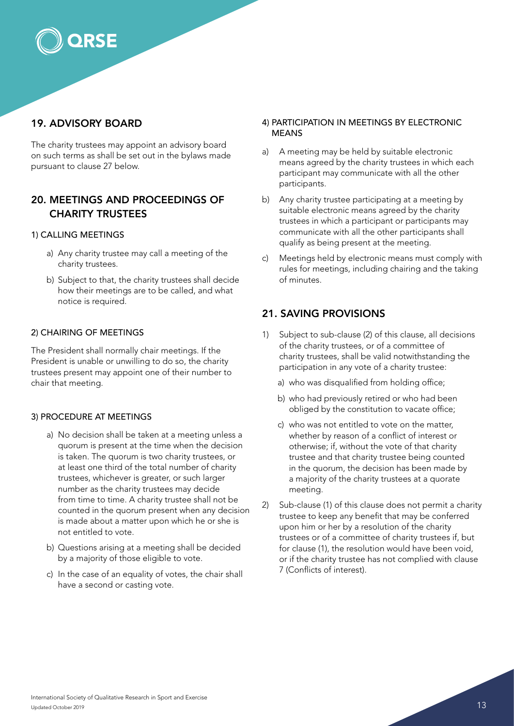# 19. ADVISORY BOARD

**ORSE** 

The charity trustees may appoint an advisory board on such terms as shall be set out in the bylaws made pursuant to clause 27 below.

# 20. MEETINGS AND PROCEEDINGS OF CHARITY TRUSTEES

### 1) CALLING MEETINGS

- a) Any charity trustee may call a meeting of the charity trustees.
- b) Subject to that, the charity trustees shall decide how their meetings are to be called, and what notice is required.

### 2) CHAIRING OF MEETINGS

The President shall normally chair meetings. If the President is unable or unwilling to do so, the charity trustees present may appoint one of their number to chair that meeting.

### 3) PROCEDURE AT MEETINGS

- a) No decision shall be taken at a meeting unless a quorum is present at the time when the decision is taken. The quorum is two charity trustees, or at least one third of the total number of charity trustees, whichever is greater, or such larger number as the charity trustees may decide from time to time. A charity trustee shall not be counted in the quorum present when any decision is made about a matter upon which he or she is not entitled to vote.
- b) Questions arising at a meeting shall be decided by a majority of those eligible to vote.
- c) In the case of an equality of votes, the chair shall have a second or casting vote.

### 4) PARTICIPATION IN MEETINGS BY ELECTRONIC MEANS

- a) A meeting may be held by suitable electronic means agreed by the charity trustees in which each participant may communicate with all the other participants.
- b) Any charity trustee participating at a meeting by suitable electronic means agreed by the charity trustees in which a participant or participants may communicate with all the other participants shall qualify as being present at the meeting.
- c) Meetings held by electronic means must comply with rules for meetings, including chairing and the taking of minutes.

# 21. SAVING PROVISIONS

- 1) Subject to sub-clause (2) of this clause, all decisions of the charity trustees, or of a committee of charity trustees, shall be valid notwithstanding the participation in any vote of a charity trustee:
	- a) who was disqualified from holding office;
	- b) who had previously retired or who had been obliged by the constitution to vacate office;
	- c) who was not entitled to vote on the matter, whether by reason of a conflict of interest or otherwise; if, without the vote of that charity trustee and that charity trustee being counted in the quorum, the decision has been made by a majority of the charity trustees at a quorate meeting.
- 2) Sub-clause (1) of this clause does not permit a charity trustee to keep any benefit that may be conferred upon him or her by a resolution of the charity trustees or of a committee of charity trustees if, but for clause (1), the resolution would have been void, or if the charity trustee has not complied with clause 7 (Conflicts of interest).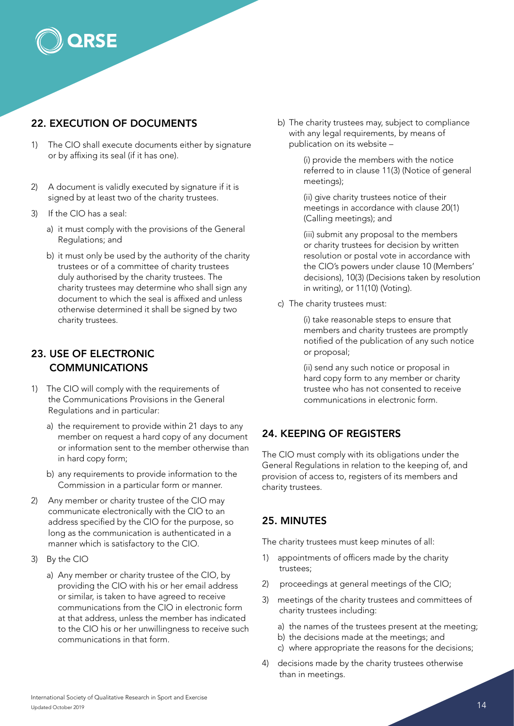

# 22. EXECUTION OF DOCUMENTS

- 1) The CIO shall execute documents either by signature or by affixing its seal (if it has one).
- 2) A document is validly executed by signature if it is signed by at least two of the charity trustees.
- 3) If the CIO has a seal:
	- a) it must comply with the provisions of the General Regulations; and
	- b) it must only be used by the authority of the charity trustees or of a committee of charity trustees duly authorised by the charity trustees. The charity trustees may determine who shall sign any document to which the seal is affixed and unless otherwise determined it shall be signed by two charity trustees.

# 23. USE OF ELECTRONIC COMMUNICATIONS

- 1) The CIO will comply with the requirements of the Communications Provisions in the General Regulations and in particular:
	- a) the requirement to provide within 21 days to any member on request a hard copy of any document or information sent to the member otherwise than in hard copy form;
	- b) any requirements to provide information to the Commission in a particular form or manner.
- 2) Any member or charity trustee of the CIO may communicate electronically with the CIO to an address specified by the CIO for the purpose, so long as the communication is authenticated in a manner which is satisfactory to the CIO.
- 3) By the CIO
	- a) Any member or charity trustee of the CIO, by providing the CIO with his or her email address or similar, is taken to have agreed to receive communications from the CIO in electronic form at that address, unless the member has indicated to the CIO his or her unwillingness to receive such communications in that form.

b) The charity trustees may, subject to compliance with any legal requirements, by means of publication on its website –

> (i) provide the members with the notice referred to in clause 11(3) (Notice of general meetings);

 (ii) give charity trustees notice of their meetings in accordance with clause 20(1) (Calling meetings); and

 (iii) submit any proposal to the members or charity trustees for decision by written resolution or postal vote in accordance with the CIO's powers under clause 10 (Members' decisions), 10(3) (Decisions taken by resolution in writing), or 11(10) (Voting).

c) The charity trustees must:

 (i) take reasonable steps to ensure that members and charity trustees are promptly notified of the publication of any such notice or proposal;

 (ii) send any such notice or proposal in hard copy form to any member or charity trustee who has not consented to receive communications in electronic form.

# 24. KEEPING OF REGISTERS

The CIO must comply with its obligations under the General Regulations in relation to the keeping of, and provision of access to, registers of its members and charity trustees.

# 25. MINUTES

The charity trustees must keep minutes of all:

- 1) appointments of officers made by the charity trustees;
- 2) proceedings at general meetings of the CIO;
- 3) meetings of the charity trustees and committees of charity trustees including:

a) the names of the trustees present at the meeting;

- b) the decisions made at the meetings; and
- c) where appropriate the reasons for the decisions;
- 4) decisions made by the charity trustees otherwise than in meetings.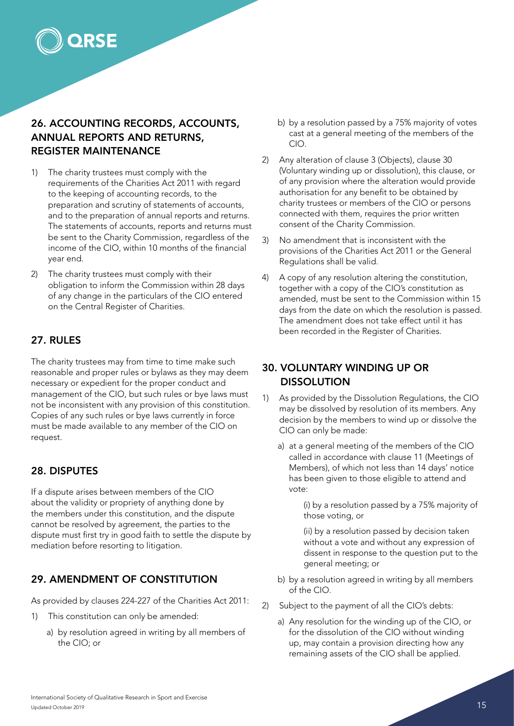

# 26. ACCOUNTING RECORDS, ACCOUNTS, ANNUAL REPORTS AND RETURNS, REGISTER MAINTENANCE

- 1) The charity trustees must comply with the requirements of the Charities Act 2011 with regard to the keeping of accounting records, to the preparation and scrutiny of statements of accounts, and to the preparation of annual reports and returns. The statements of accounts, reports and returns must be sent to the Charity Commission, regardless of the income of the CIO, within 10 months of the financial year end.
- 2) The charity trustees must comply with their obligation to inform the Commission within 28 days of any change in the particulars of the CIO entered on the Central Register of Charities.

# 27. RULES

The charity trustees may from time to time make such reasonable and proper rules or bylaws as they may deem necessary or expedient for the proper conduct and management of the CIO, but such rules or bye laws must not be inconsistent with any provision of this constitution. Copies of any such rules or bye laws currently in force must be made available to any member of the CIO on request.

# 28. DISPUTES

If a dispute arises between members of the CIO about the validity or propriety of anything done by the members under this constitution, and the dispute cannot be resolved by agreement, the parties to the dispute must first try in good faith to settle the dispute by mediation before resorting to litigation.

# 29. AMENDMENT OF CONSTITUTION

As provided by clauses 224-227 of the Charities Act 2011:

- 1) This constitution can only be amended:
	- a) by resolution agreed in writing by all members of the CIO; or
- b) by a resolution passed by a 75% majority of votes cast at a general meeting of the members of the CIO.
- 2) Any alteration of clause 3 (Objects), clause 30 (Voluntary winding up or dissolution), this clause, or of any provision where the alteration would provide authorisation for any benefit to be obtained by charity trustees or members of the CIO or persons connected with them, requires the prior written consent of the Charity Commission.
- 3) No amendment that is inconsistent with the provisions of the Charities Act 2011 or the General Regulations shall be valid.
- 4) A copy of any resolution altering the constitution, together with a copy of the CIO's constitution as amended, must be sent to the Commission within 15 days from the date on which the resolution is passed. The amendment does not take effect until it has been recorded in the Register of Charities.

# 30. VOLUNTARY WINDING UP OR **DISSOLUTION**

- 1) As provided by the Dissolution Regulations, the CIO may be dissolved by resolution of its members. Any decision by the members to wind up or dissolve the CIO can only be made:
	- a) at a general meeting of the members of the CIO called in accordance with clause 11 (Meetings of Members), of which not less than 14 days' notice has been given to those eligible to attend and vote:

 (i) by a resolution passed by a 75% majority of those voting, or

 (ii) by a resolution passed by decision taken without a vote and without any expression of dissent in response to the question put to the general meeting; or

- b) by a resolution agreed in writing by all members of the CIO.
- 2) Subject to the payment of all the CIO's debts:
	- a) Any resolution for the winding up of the CIO, or for the dissolution of the CIO without winding up, may contain a provision directing how any remaining assets of the CIO shall be applied.